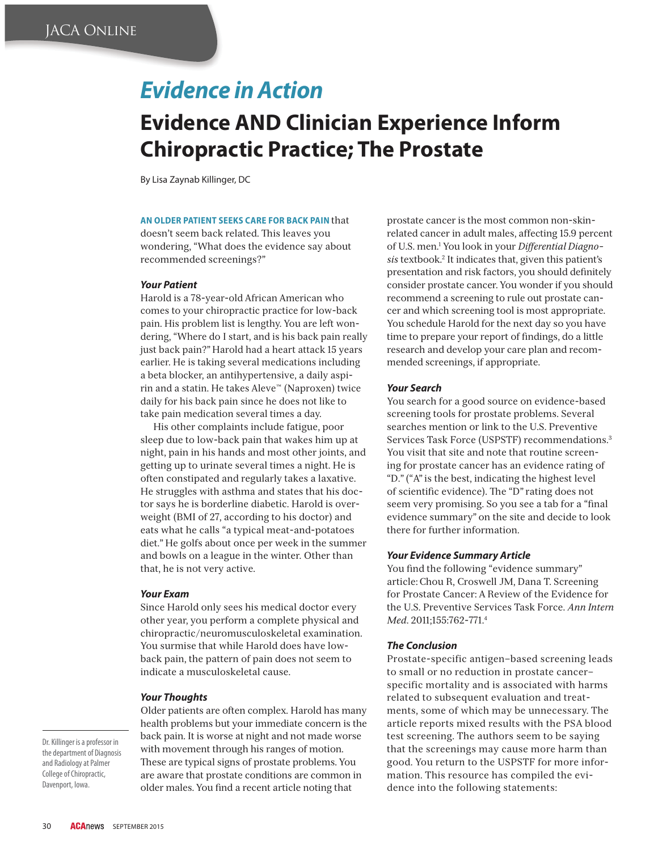# *Evidence in Action*

# **Evidence AND Clinician Experience Inform Chiropractic Practice; The Prostate**

By Lisa Zaynab Killinger, DC

### **AN OLDER PATIENT SEEKS CARE FOR BACK PAIN** that

doesn't seem back related. This leaves you wondering, "What does the evidence say about recommended screenings?"

## *Your Patient*

Harold is a 78-year-old African American who comes to your chiropractic practice for low-back pain. His problem list is lengthy. You are left wondering, "Where do I start, and is his back pain really just back pain?" Harold had a heart attack 15 years earlier. He is taking several medications including a beta blocker, an antihypertensive, a daily aspirin and a statin. He takes Aleve™ (Naproxen) twice daily for his back pain since he does not like to take pain medication several times a day.

His other complaints include fatigue, poor sleep due to low-back pain that wakes him up at night, pain in his hands and most other joints, and getting up to urinate several times a night. He is often constipated and regularly takes a laxative. He struggles with asthma and states that his doctor says he is borderline diabetic. Harold is overweight (BMI of 27, according to his doctor) and eats what he calls "a typical meat-and-potatoes diet." He golfs about once per week in the summer and bowls on a league in the winter. Other than that, he is not very active.

#### *Your Exam*

Since Harold only sees his medical doctor every other year, you perform a complete physical and chiropractic/neuromusculoskeletal examination. You surmise that while Harold does have lowback pain, the pattern of pain does not seem to indicate a musculoskeletal cause.

## *Your Thoughts*

Older patients are often complex. Harold has many health problems but your immediate concern is the back pain. It is worse at night and not made worse with movement through his ranges of motion. These are typical signs of prostate problems. You are aware that prostate conditions are common in older males. You find a recent article noting that

prostate cancer is the most common non-skinrelated cancer in adult males, affecting 15.9 percent of U.S. men.1 You look in your *Differential Diagnosis* textbook.2 It indicates that, given this patient's presentation and risk factors, you should definitely consider prostate cancer. You wonder if you should recommend a screening to rule out prostate cancer and which screening tool is most appropriate. You schedule Harold for the next day so you have time to prepare your report of findings, do a little research and develop your care plan and recommended screenings, if appropriate.

#### *Your Search*

You search for a good source on evidence-based screening tools for prostate problems. Several searches mention or link to the U.S. Preventive Services Task Force (USPSTF) recommendations.3 You visit that site and note that routine screening for prostate cancer has an evidence rating of "D." ("A" is the best, indicating the highest level of scientific evidence). The "D" rating does not seem very promising. So you see a tab for a "final" evidence summary" on the site and decide to look there for further information.

### *Your Evidence Summary Article*

You find the following "evidence summary" article:Chou R, Croswell JM, Dana T. Screening for Prostate Cancer: A Review of the Evidence for the U.S. Preventive Services Task Force. *Ann Intern Med*. 2011;155:762-771.4

#### *The Conclusion*

Prostate-specific antigen–based screening leads to small or no reduction in prostate cancer– specific mortality and is associated with harms related to subsequent evaluation and treatments, some of which may be unnecessary. The article reports mixed results with the PSA blood test screening. The authors seem to be saying that the screenings may cause more harm than good. You return to the USPSTF for more information. This resource has compiled the evidence into the following statements:

Dr. Killinger is a professor in the department of Diagnosis and Radiology at Palmer College of Chiropractic, Davenport, Iowa.